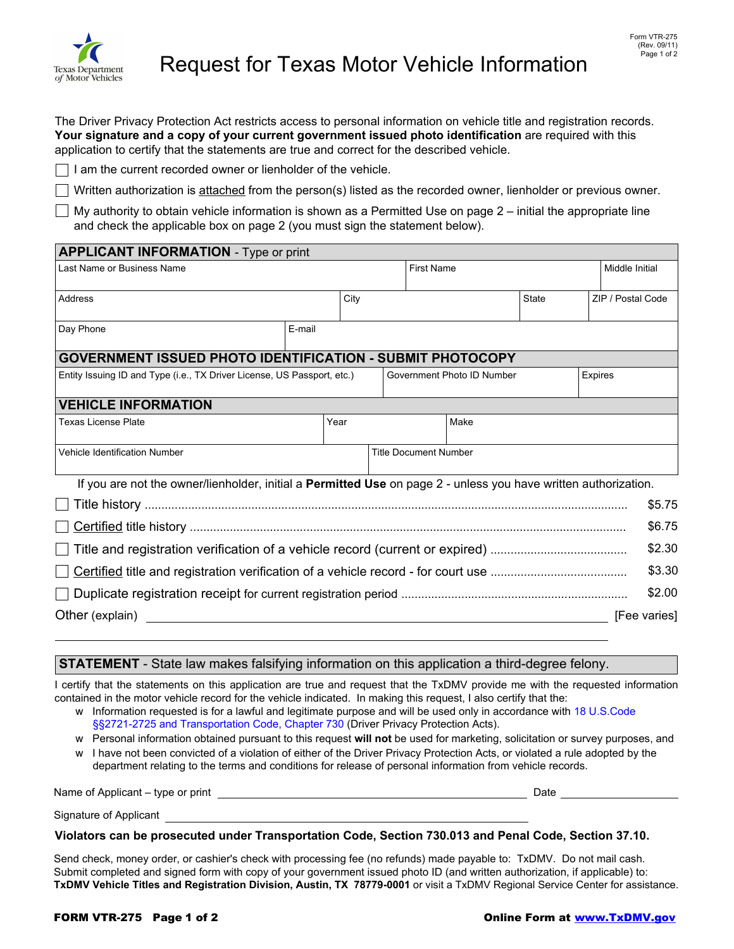

The Driver Privacy Protection Act restricts access to personal information on vehicle title and registration records. **Your signature and a copy of your current government issued photo identification** are required with this application to certify that the statements are true and correct for the described vehicle.

 $\Box$  I am the current recorded owner or lienholder of the vehicle.

Written authorization is attached from the person(s) listed as the recorded owner, lienholder or previous owner.

 $\Box$  My authority to obtain vehicle information is shown as a Permitted Use on page 2 – initial the appropriate line and check the applicable box on page 2 (you must sign the statement below).

| <b>APPLICANT INFORMATION</b> - Type or print                            |      |      |                              |      |                   |                   |                                                                                                                                          |  |  |
|-------------------------------------------------------------------------|------|------|------------------------------|------|-------------------|-------------------|------------------------------------------------------------------------------------------------------------------------------------------|--|--|
| Last Name or Business Name                                              |      |      |                              |      |                   | Middle Initial    |                                                                                                                                          |  |  |
|                                                                         | City |      |                              |      | State             | ZIP / Postal Code |                                                                                                                                          |  |  |
| E-mail                                                                  |      |      |                              |      |                   |                   |                                                                                                                                          |  |  |
| <b>GOVERNMENT ISSUED PHOTO IDENTIFICATION - SUBMIT PHOTOCOPY</b>        |      |      |                              |      |                   |                   |                                                                                                                                          |  |  |
| Entity Issuing ID and Type (i.e., TX Driver License, US Passport, etc.) |      |      | Government Photo ID Number   |      |                   |                   |                                                                                                                                          |  |  |
| <b>VEHICLE INFORMATION</b>                                              |      |      |                              |      |                   |                   |                                                                                                                                          |  |  |
|                                                                         |      |      |                              | Make |                   |                   |                                                                                                                                          |  |  |
| Vehicle Identification Number                                           |      |      | <b>Title Document Number</b> |      |                   |                   |                                                                                                                                          |  |  |
|                                                                         |      |      |                              |      |                   |                   |                                                                                                                                          |  |  |
|                                                                         |      |      |                              |      |                   |                   | \$5.75                                                                                                                                   |  |  |
|                                                                         |      |      |                              |      |                   |                   | \$6.75                                                                                                                                   |  |  |
|                                                                         |      |      |                              |      |                   |                   | \$2.30                                                                                                                                   |  |  |
|                                                                         |      |      |                              |      |                   |                   | \$3.30                                                                                                                                   |  |  |
|                                                                         |      |      |                              |      |                   |                   | \$2.00                                                                                                                                   |  |  |
|                                                                         |      |      |                              |      |                   | [Fee varies]      |                                                                                                                                          |  |  |
|                                                                         |      | Year |                              |      | <b>First Name</b> |                   | <b>Expires</b><br>If you are not the owner/lienholder, initial a <b>Permitted Use</b> on page 2 - unless you have written authorization. |  |  |

## **STATEMENT** - State law makes falsifying information on this application a third-degree felony.

I certify that the statements on this application are true and request that the TxDMV provide me with the requested information contained in the motor vehicle record for the vehicle indicated. In making this request, I also certify that the:

- w Information requested is for a lawful and legitimate purpose and will be used only in accordance with 18 U.S.Code §§2721-2725 and Transportation Code, Chapter 730 (Driver Privacy Protection Acts).
- w Personal information obtained pursuant to this request **will not** be used for marketing, solicitation or survey purposes, and
- w I have not been convicted of a violation of either of the Driver Privacy Protection Acts, or violated a rule adopted by the department relating to the terms and conditions for release of personal information from vehicle records.

| Name of Applicant - type or print | Date |  |
|-----------------------------------|------|--|
| Signature of Applicant            |      |  |

## **Violators can be prosecuted under Transportation Code, Section 730.013 and Penal Code, Section 37.10.**

Send check, money order, or cashier's check with processing fee (no refunds) made payable to: TxDMV. Do not mail cash. Submit completed and signed form with copy of your government issued photo ID (and written authorization, if applicable) to: **TxDMV Vehicle Titles and Registration Division, Austin, TX 78779-0001** or visit a TxDMV Regional Service Center for assistance.